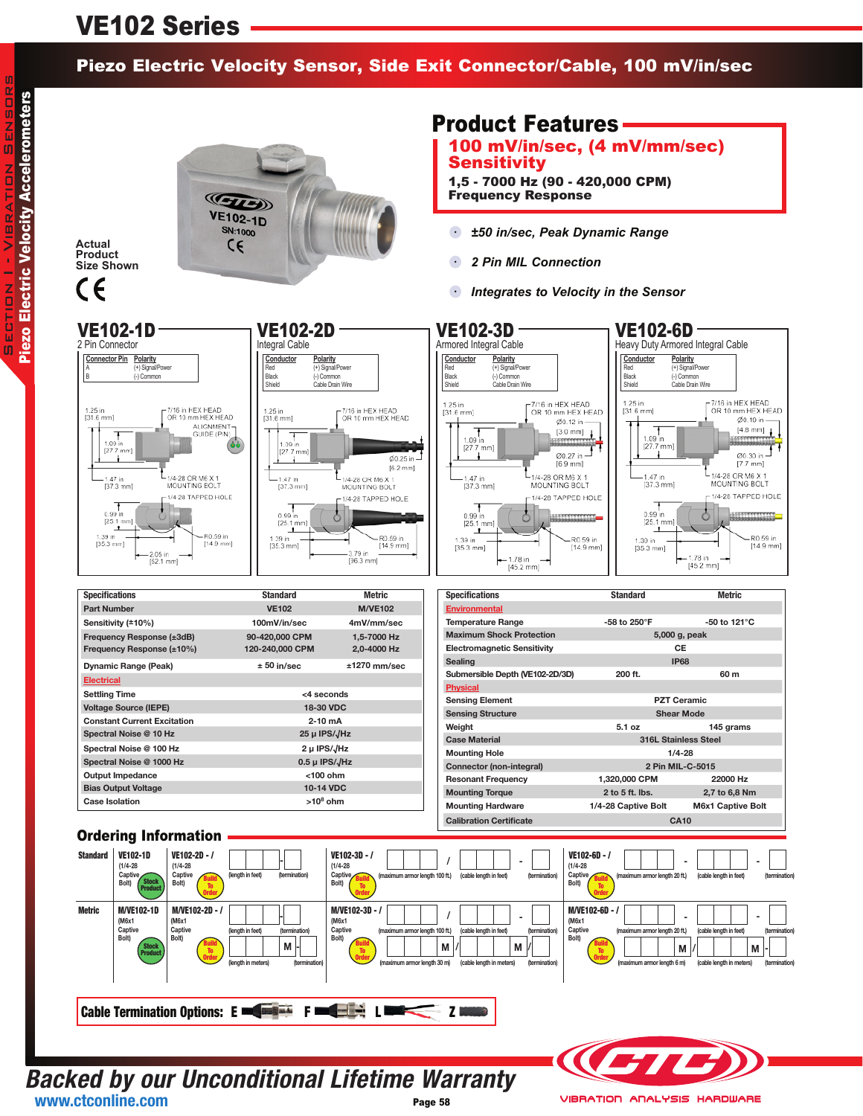# VE102 Series

### Piezo Electric Velocity Sensor, Side Exit Connector/Cable, 100 mV/in/sec

**Actual Product Size Shown**



## Product Features

100 mV/in/sec, (4 mV/mm/sec) **Sensitivity** 

1,5 - 7000 Hz (90 - 420,000 CPM) Frequency Response

- *±50 in/sec, Peak Dynamic Range*
- $\bullet$ *2 Pin MIL Connection*
- *Integrates to Velocity in the Sensor*  $\bullet$



#### **Backed by our Unconditional Lifetime Warranty** Page 58 **www.ctconline.com**



**VIBRATION ANALYSIS HARDWARE**